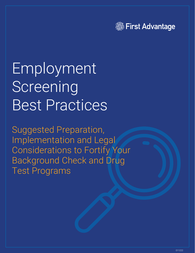

# Employment Screening Best Practices

Suggested Preparation, Implementation and Legal Considerations to Fortify Your Background Check and Drug Test Programs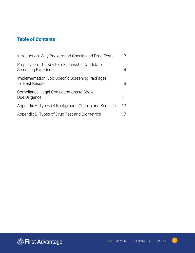#### **Table of Contents**

| Introduction: Why Background Checks and Drug Tests                     | 3  |
|------------------------------------------------------------------------|----|
| Preparation: The Key to a Successful Candidate<br>Screening Experience | 4  |
| Implementation: Job-Specific Screening Packages<br>for Best Results    | 8  |
| Compliance: Legal Considerations to Show<br>Due Diligence              | 11 |
| Appendix A: Types Of Background Checks and Services                    | 13 |
| Appendix B: Types of Drug Test and Biometrics                          |    |

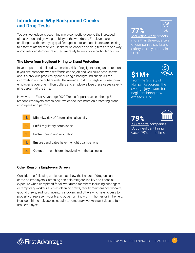#### **Introduction: Why Background Checks and Drug Tests**

Today's workplace is becoming more competitive due to the increased globalization and growing mobility of the workforce. Employers are challenged with identifying qualified applicants, and applicants are seeking to differentiate themselves. Background checks and drug tests are one way applicants can demonstrate they are ready to work for a particular position.

#### **The Move from Negligent Hiring to Brand Protection**

In year's past, and still today, there is a risk of negligent hiring and retention if you hire someone who reoffends on the job and you could have known about a previous problem by conducting a background check. As the information on the right reveals, the average cost of a negligent case to an employer is over one million dollars and employers lose these cases seventnine percent of the time.

However, the First Advantage 2020 Trends Report revealed the top 5 reasons employers screen now--which focuses more on protecting brand, employees and patrons:

- **Minimize** risk of future criminal activity **1.**
- Fulfill regulatory compliance **2.**
- Protect brand and reputation **3.**
- **Ensure** candidates have the right qualifications **4.**
- **Other:** protect children involved with the business **5.**

#### **Other Reasons Employers Screen**

Consider the following statistics that show the impact of drug use and crime on employers. Screening can help mitigate liability and financial exposure when completed for all workforce members including contingent or temporary workers such as cleaning crews, facility maintenance workers, ground crews, auditors, inventory stockers and others who have access to property or represent your brand by performing work in homes or in the field. Negligent hiring risk applies equally to temporary workers as it does to fulltime employees.





[Marketing Week](https://www.marketingweek.com/brand-safety-trademark-infringement-marketing-budgets-marketing-stats/) reports more than three-quarters of companies say brand safety is a key priority in 2020

\$1M+



From the [Society of](http://www.shrm.org/legalissues/ stateandlocalresources/pages/ costlyclaims.aspx
)  [Human Resources,](http://www.shrm.org/legalissues/ stateandlocalresources/pages/ costlyclaims.aspx
) the average jury award for negligent hiring now exceeds \$1M

## 79%



[ISO reports](http://www.iso.com/Researchand-Analyses/ISO-Review/Negligent-Hiring-Employer-Risk.html) companies LOSE negligent hiring cases 79% of the time

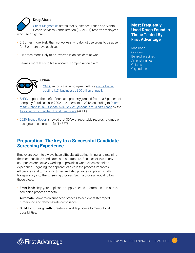

#### **Drug Abuse**

[Quest Diagnostics](https://www.questdiagnostics.com/home/companies/employer/drug-screening/testing-reasons/why-drug-test/) states that Substance Abuse and Mental Health Services Administration (SAMHSA) reports employees who use drugs are:

- 2.5 times more likely than co-workers who do not use drugs to be absent for 8 or more days each year
- 3.6 times more likely to be involved in an accident at work
- 5 times more likely to file a workers' compensation claim



#### **Crime**

• [CNBC](https://www.cnbc.com/2017/09/12/workplace-crime-costs-us-businesses-50-billion-a-year.html) reports that employee theft is a [crime that is](http://www.statisticbrain.com/employee-theft-statistics/)  [costing U.S. businesses \\$50 billion annually](http://www.statisticbrain.com/employee-theft-statistics/)

- [SHRM](https://www.shrm.org/resourcesandtools/hr-topics/employee-relations/pages/workplace-theft-on-the-rise-.aspx) reports the theft of noncash property jumped from 10.6 percent of company fraud cases in 2002 to 21 percent in 2018, according to *[Report](https://s3-us-west-2.amazonaws.com/acfepublic/2018-report-to-the-nations.pdf)  [to the Nations: 2018 Global Study on Occupational Fraud and Abuse](https://s3-us-west-2.amazonaws.com/acfepublic/2018-report-to-the-nations.pdf)* by the [Association of Certified Fraud Examiners](https://s3-us-west-2.amazonaws.com/acfepublic/2018-report-to-the-nations.pdf"Association of Certified Fraud Examiners) (ACFE).
- <2020 Trends Report> showed that 30%+ of reportable records returned on background checks are for THEFT!

#### **Preparation: The key to a Successful Candidate Screening Experience**

Employers seem to always have difficulty attracting, hiring, and retaining the most qualified candidates and contractors. Because of this, many companies are actively working to provide a world-class candidate experience. Engaging the applicant earlier in the process improves efficiencies and turnaround times and also provides applicants with transparency into the screening process. Such a process would follow these steps:

- Front load: Help your applicants supply needed information to make the screening process smooth.
- Automate: Move to an enhanced process to achieve faster report turnaround and demonstrate compliance.
- Build for future growth: Create a scalable process to meet global possibilities.

#### **Most Frequently Used Drugs Found In Those Tested By First Advantage**

Marijuana **Cocaine** Benzodiasepines Amphetamines **Opiates** Oxycodone

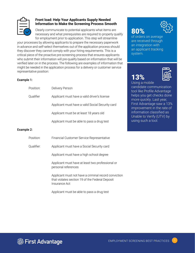

#### **Front load: Help Your Applicants Supply Needed Information to Make the Screening Process Smooth**

Clearly communicate to potential applicants what items are necessary and what prerequisites are required to properly qualify for employment prior to application. This step will streamline

your processes by allowing applicants to prepare the necessary paperwork in advance and self-select themselves out of the application process should they discover they cannot comply with your hiring requirements. This is a critical piece of the proactive pre-screening process that ensures applicants who submit their information will pre-qualify based on information that will be verified later on in the process. The following are examples of information that might be needed in the application process for a delivery or customer service representative position:

#### Example 1:

| Position:  | Delivery Person                                  |
|------------|--------------------------------------------------|
| Oualifier  | Applicant must have a valid driver's license     |
|            | Applicant must have a valid Social Security card |
|            | Applicant must be at least 18 years old          |
|            | Applicant must be able to pass a drug test       |
| Example 2: |                                                  |
| Position:  | Financial Customer Service Representative        |

Qualifier: Applicant must have a Social Security card

Applicant must have a high school degree

Applicant must have at least two professional or personal references

Applicant must not have a criminal record conviction that violates section 19 of the Federal Deposit Insurance Act

Applicant must be able to pass a drug test





of orders on average are received through an integration with an applicant tracking system.

## 13%



Using a mobile candidate communication tool like Profile Advantage helps you get checks done more quickly. Last year, First Advantage saw a 13% improvement in the rate of information classified as Unable to Verify (UTV) by using such a tool.

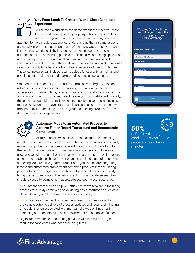

#### **Why Front Load: To Create a World-Class Candidate Experience**

You create a world-class candidate experience when you make it easier and more appealing for prospective job applicants to interact with your organization. Companies are paying closer

attention to the candidate experience, understanding that first impressions are equally important to applicants. One of the many ways employers can improve this experience is by leveraging new technologies to automate the outdated and time-consuming processes of manually completing applications and other paperwork. Through applicant tracking systems and mobile communications directly with the candidate, candidates can quickly and easily search and apply for jobs online from the convenience of their own homes. These technologies can include resume upload functionality as well as prepopulation of employment and background screening applications.

What does this mean for you? Apart from making your organization an attractive option for candidates, improving the candidate experience accelerates turnaround time, reduces manual errors and allows you to hire and on-board the most qualified talent before your competitor. Additionally, this paperless candidate-centric experience positions your company as a technology leader in the eyes of the applicant, and also provides them with transparency into the hiring and background screening process–further differentiating your organization.



#### **Automate: Move to an Automated Process to Achieve Faster Report Turnaround and Demonstrate Compliance**

Automation allows access to fast background screening results. These timely results are critical in helping organizations efficiently move through the hiring process. Where it previously took days to obtain the results of a county-level criminal background check, employers can now receive quick results from a nationwide search. In short, online record access and databases have forever changed the landscape of employment screening. As a result, a greater number of organizations are integrating instant and automated employment screening products into their hiring process to help them gain a competitive edge when it comes to quickly hiring the best candidates. The near-instant criminal database searches should be used to complement address-based county court searches.

- Near-instant searches can help you efficiently move forward in the hiring process by quickly confirming or validating basic information such as a Social Security number or name and address history.
- Automated searches quickly move the screening process along by providing electronic delivery of process updates and results, eliminating time delays often associated with manual follow-up on important screening components such as employment or education verifications.
- Digital rapid response drug testing provides within minutes drug test results for candidates who pass their drug tests.



## 50%



of Profile Advantage candidates complete the process in less than six minutes

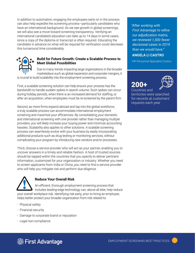In addition to automation, engaging the employees early on in the process can also help expedite the screening process–particularly candidates who have an international background. As we see growth in global screenings, we will also see a move toward screening transparency. Verifying an international candidate's education can take up to 14 days in some cases, since a copy of the diploma or transcript is often required. Educating the candidate in advance on what will be required for verification could decrease this turnaround time considerably.



#### **Build for Future Growth: Create a Scalable Process to Meet Global Possibilities**

Due to many trends impacting large organizations in the broader marketplace such as global expansion and corporate mergers, it is crucial to build scalability into the employment screening process.

First, a scalable screening solution can help ensure your process has the bandwidth to handle sudden spikes in search volume. Such spikes can occur during holiday periods, when there is an increased demand for staffing, or after an acquisition, when employees must be re-screened by the parent firm.

Second, as more firms expand abroad and tap into the global workforce, a truly scalable process can accommodate international employment screening and maximize your efficiencies. By consolidating your domestic and international screening with one provider rather than managing multiple providers, you will likely increase your buying power and minimize accounting hassles. Scalability also applies to other solutions. A scalable screening process can seamlessly evolve with your business by easily incorporating additional products such as drug testing or monitoring services, without complicating your program by introducing new vendors and/or processes.

Third, choose a service provider who will act as your partner, enabling you to uncover answers in a timely and reliable fashion. A host of trusted sources should be tapped within the countries that you specify to deliver pertinent information, customized for your organization or industry. Whether you need to screen applicants from India or China, you need to find a service provider who will help you mitigate risk and perform due diligence.



#### **Reduce Your Overall Risk**

An efficient, thorough employment screening process that includes leading-edge technology can, above all else, help reduce your overall workplace risk. Identifying risk early, prior to hiring an employee, helps better protect your broader organization from risk related to:

- Physical safety
- Financial security
- Damage to corporate brand or reputation
- Legal non-compliance

*"After working with First Advantage to refine our adjudication matrix, we reviewed 1,500 fewer decisional cases in 2019 than we would have."*

#### **ANGELA LI CASTRO**

HR Personnel Specialist Costco





Countries and territories were searched for records at customers' requests each year



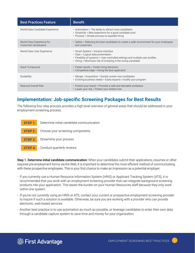| <b>Best Practices Feature</b>                       | <b>Benefit</b>                                                                                                                                                                                                                |
|-----------------------------------------------------|-------------------------------------------------------------------------------------------------------------------------------------------------------------------------------------------------------------------------------|
| World-Class Candidate Experience                    | • Automation = The ability to attract more candidates<br>• Simplicity = Best experience for a good candidate pool<br>• Process = Simple process to expedite hiring                                                            |
| World-Class Experience for<br>Customers (employers) | • Safety = Selecting the best candidates to create a safer environment for your employees<br>and customers                                                                                                                    |
| World-Class User Experience                         | • Smart System = Intuitive interface<br>• Data = Logical data presentation<br>• Flexibility of systems = User controlled settings and multiple user profiles<br>• Hiring = Minimizes risk of investing in the wrong candidate |
| <b>Quick Turnaround</b>                             | $\cdot$ Faster results = Faster hiring decisions<br>$\cdot$ Competitive edge = Hiring the best applicants                                                                                                                     |
| Scalability                                         | • Merger / Acquisition = Quickly screen new candidates<br>• Evolving business needs = Easily expand / modify your program                                                                                                     |
| <b>Reduced Overall Risk</b>                         | • Protect your brand = Promote a safe and desirable workplace<br>• Lower your risk = Protect your bottom line                                                                                                                 |

#### **Implementation: Job-specific Screening Packages for Best Results**

The following four-step process provides a high-level overview of general areas that should be addressed in your employment screening process.

|  | <b>STEP 1.</b> Determine initial candidate communication |
|--|----------------------------------------------------------|
|  | <b>STEP 2.</b> Choose your screening components          |
|  | <b>STEP 3.</b> Streamline your process                   |
|  | <b>STEP 4.</b> Conduct quarterly reviews                 |

Step 1. Determine initial candidate communication: When your candidates submit their applications, resumes or other required pre-employment forms via the Web, it is important to determine the most efficient method of communicating with these prospective employees. This is your first chance to make an impression as a potential employer.

- If you currently use a Human Resource Information System (HRIS) or Applicant Tracking System (ATS), it is recommended that you work with an employment screening provider that can integrate background screening products into your application. This eases the burden on your Human Resources staff because they only work within one system.
- If you're not currently using an HRIS or ATS, contact your current or prospective employment screening provider to inquire if such a solution is available. Otherwise, be sure you are working with a provider who can provide electronic, web-based services.
- Another best practice is to use automation as much as possible, or leverage candidates to enter their own data through a candidate capture system to save time and money for your organization.

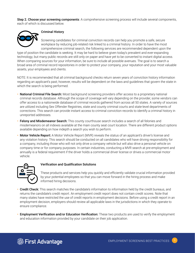Step 2. Choose your screening components: A comprehensive screening process will include several components, each of which is discussed below.



#### Criminal History

Screening candidates for criminal conviction records can help you promote a safe, secure workplace by reducing job-related risk linked to a criminal history. In order to have the most comprehensive criminal search, the following services are recommended dependent upon the

type of position the candidate is seeking. It may be hard to believe given today's prevalent and ever-expanding technology, but many public records are still only on paper and have yet to be converted to instant digital access. When comparing sources for your information, be sure to include all possible avenues. The goal is to search a broad area of criminal record repositories in order to protect your company, your reputation and your most valuable assets, your employees and clients.

NOTE: It is recommended that all criminal background checks return seven years of conviction history information regarding an applicant's past; however, results will be dependent on the laws and guidelines that govern the state in which the search is being performed.

- National Criminal File Search: Most background screening providers offer access to a proprietary national criminal records database. Although the scope of coverage will vary depending on the provider, some vendors can offer access to a nationwide database of criminal records gathered from across all 50 states. A variety of sources are utilized including Sex Offender Registries, state and county criminal courts and state-level departments of corrections. This search can provide instant access to criminal conviction records to identify a criminal history in unreported addresses.
- Felony and Misdemeanor Search: This county courthouse search includes a search of all felonies and misdemeanors on all indexes available at the main county seat court location. There are different product options available depending on how indepth a search you wish to perform.
- Motor Vehicle Report: A Motor Vehicle Report (MVR) reveals the status of an applicant's driver's license and any violation history. This search should be conducted on all candidates who will have driving responsibility for a company, including those who will not only drive a company vehicle but will also drive a personal vehicle on company time or for company purposes. In certain industries, conducting a MVR search at pre-employment and annually is a federal requirement if the driver holds a commercial driver license or drives a commercial motor vehicle.



#### Verification and Qualification Solutions

These products and services help you quickly and efficiently validate crucial information provided by your potential employees so that you can move forward in the hiring process and make informed hiring decisions.

- Credit Check: This search matches the candidate's information to information held by the credit bureaus, and returns the candidate's credit report. An employment credit report does not contain credit scores. Note that many states have restricted the use of credit reports in employment decisions. Before using a credit report in an employment decision, employers should review all applicable laws in the jurisdictions in which they operate to ensure compliance.
- Employment Verification and/or Education Verification: These two products are used to verify the employment and education information provided by your candidate on their job application.

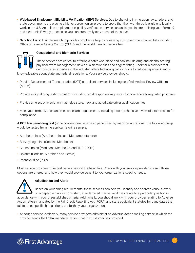- Web-based Employment Eligibility Verification (EEV) Services: Due to changing immigration laws, federal and state governments are placing a higher burden on employers to prove that their workforce is eligible to legally work in the U.S. An online employment eligibility verification service can assist you in streamlining your Form I-9 and electronic E-Verify process so you can proactively stay ahead of the curve.
- **Sanction Lists:** A single search to provide compliance help by reviewing 25+ government barred lists including Office of Foreign Assets Control (OFAC) and the World Bank to name a few.



#### Occupational and Biometric Services

These services are critical to offering a safer workplace and can include drug and alcohol testing, physical exam management, driver qualification files and fingerprinting. Look for a provider that demonstrates expertise in the industry, offers technological solutions to reduce paperwork and is

knowledgeable about state and federal regulations. Your service provider should:

- Provide Department of Transportation (DOT) compliant services including certified Medical Review Officers (MROs)
- Provide a digital drug testing solution including rapid response drug tests for non-federally regulated programs
- Provide an electronic solution that helps store, track and adjudicate driver qualification files
- Meet your immunization and medical exam requirements, including a comprehensive review of exam results for compliance

A DOT five panel drug test (urine conventional) is a basic panel used by many organizations. The following drugs would be tested from the applicant's urine sample:

- Amphetamines (Amphetamine and Methamphetamine)
- Benzoylecgonine (Cocaine Metabolite)
- Cannabinoids (Marijuana Metabolite, and THC-COOH)
- Opiates (Codeine, Morphine and Heroin)
- Phencyclidine (PCP)

Most service providers offer test panels beyond the basic five. Check with your service provider to see if those options are offered, and how they would provide benefit to your organization's specific needs.



#### Adjudication and Alerts

Based on your hiring requirements, these services can help you identify and address various levels of acceptable risk in a consistent, standardized manner as it may relate to a particular position in

accordance with your preestablished criteria. Additionally, you should work with your provider relating to Adverse Action letters mandated by the Fair Credit Reporting Act (FCRA) and state equivalent statutes for candidates that fail to meet specific hiring criteria set forth by your organization.

• Although service levels vary, many service providers administer an Adverse Action mailing service in which the provider sends the FCRA-mandated letters that the customer has provided.

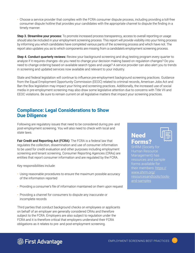• Choose a service provider that complies with the FCRA consumer dispute process, including providing a toll-free consumer dispute hotline that provides your candidates with the appropriate channel to dispute the finding in a timely manner.

Step 3. Streamline your process: To promote increased process transparency, access to overall reporting or usage should also be included in your employment screening process. This report will provide visibility into your hiring process by informing you which candidates have completed various parts of the screening process and which have not. The report also updates you as to which components are missing from a candidate's employment screening process.

Step 4. Conduct quarterly reviews: Review your background screening and drug testing program every quarter to analyze if it requires changes--do you need to change your decision making based on regulation changes? Do you need to change ordering based on available search types and usage? A service provider can also alert you to trends in screening and updated services now available and relevant to your industry.

State and federal legislation will continue to influence pre-employment background screening practices. Guidance from the Equal Employment Opportunity Commission (EEOC) related to criminal records, American Jobs Act and Ban the Box legislation may impact your hiring and screening practices. Additionally, the increased use of social media in pre-employment screening may also draw some legislative attention due to concerns with Title VII and EEOC violations. Be sure to remain current on all legislative matters that impact your screening practices.

#### **Compliance: Legal Considerations to Show Due Diligence**

Following are regulatory issues that need to be considered during pre- and post-employment screening. You will also need to check with local and state laws.

Fair Credit and Reporting Act (FCRA): The FCRA is a federal law that regulates the collection, dissemination and use of consumer information to be used for credit evaluation and other purposes including employment screening and tenant screening. Consumer Reporting Agencies (CRAs) are entities that report consumer information and are regulated by the FCRA.

Key responsibilities include:

- Using reasonable procedures to ensure the maximum possible accuracy of the information reported
- Providing a consumer's file of information maintained on them upon request
- Providing a channel for consumers to dispute any inaccurate or incomplete records

Third parties that conduct background checks on employees or applicants on behalf of an employer are generally considered CRAs and therefore subject to the FCRA. Employers are also subject to regulation under the FCRA and it is therefore critical that employers understand their FCRA obligations as it relates to pre- and post-employment screening.

#### **Need** Forms?

| ═ |
|---|
|   |

SHRM (Society for Human Resource Management) has resources and sample forms available for their members: [https://](https://www.shrm.org/resourcesandtools/tools-and-samples) [www.shrm.org/](https://www.shrm.org/resourcesandtools/tools-and-samples) [resourcesandtools/tools](https://www.shrm.org/resourcesandtools/tools-and-samples)[and-samples](https://www.shrm.org/resourcesandtools/tools-and-samples)

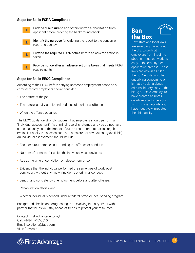#### **Steps for Basic FCRA Compliance**



**Provide disclosure** to and obtain written authorization from applicant before ordering the background check.

**2.**

Identify the purpose for ordering the report to the consumer reporting agency.

**3.**

Provide the required FCRA notice before an adverse action is taken.



Provide notice after an adverse action is taken that meets FCRA requirements.

#### **Steps for Basic EEOC Compliance**

According to the EEOC, before denying someone employment based on a criminal record, employers should consider:

- The nature of the job
- The nature, gravity and job-relatedness of a criminal offense
- When the offense occurred

The EEOC guidance strongly suggest that employers should perform an "individual assessment" if a criminal record is returned and you do not have statistical analysis of the impact of such a record on that particular job (which is usually the case as such statistics are not always readily available). An individual assessment should include:

- Facts or circumstances surrounding the offence or conduct;
- Number of offenses for which the individual was convicted;
- Age at the time of conviction, or release from prison;
- Evidence that the individual performed the same type of work, post conviction, without any known incidents of criminal conduct;
- Length and consistency of employment before and after offense;
- Rehabilitation efforts; and
- Whether individual is bonded under a federal, state, or local bonding program

Background checks and drug testing is an evolving industry. Work with a partner that helps you stay ahead of trends to protect your resources.

Contact First Advantage today! Call: +1-844-717-0510 Email: solutions@fadv.com Visit: fadv.com



### Ban the Box



New state and local laws are emerging throughout the U.S. to prohibit employers from inquiring about criminal convictions early in the employment application process. These laws are known as "Ban the Box" legislation. The underlying concern here is that by asking about criminal history early in the hiring process, employers have created an unfair disadvantage for persons with criminal records and have negatively impacted their hire ability.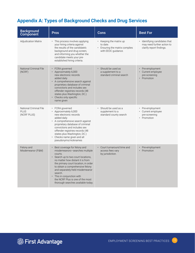#### **Appendix A: Types of Background Checks and Drug Services**

| <b>Background</b><br>Component                       | <b>Pros</b>                                                                                                                                                                                                                                                                                                                                                                                       | <b>Cons</b>                                                                                        | <b>Best For</b>                                                                         |
|------------------------------------------------------|---------------------------------------------------------------------------------------------------------------------------------------------------------------------------------------------------------------------------------------------------------------------------------------------------------------------------------------------------------------------------------------------------|----------------------------------------------------------------------------------------------------|-----------------------------------------------------------------------------------------|
| <b>Adjudication Matrix</b>                           | • This process involves applying<br>your hiring criteria against<br>the results of the candidate's<br>background and drug screen,<br>and informing you whether the<br>candidate meets your pre-<br>established hiring criteria.                                                                                                                                                                   | $\cdot$ Keeping the matrix up<br>to date.<br>• Ensuring the matrix complies<br>with EEOC guidance. | · Identifying candidates that<br>may need further action to<br>clarify report findings. |
| <b>National Criminal File</b><br>(NCRF)              | · FCRA governed<br>• Approximately 6,000<br>new electronic records<br>added daily<br>• A comprehensive search against<br>proprietary database of criminal<br>convictions and includes sex<br>offender registries records (48<br>states plus Washington, DC.)<br>• Checks only specific<br>name given                                                                                              | Should be used as<br>a supplement to a<br>standard criminal search                                 | Pre-employment<br>• Current employee<br>pre-screening<br>• Promotion                    |
| National Criminal File<br><b>PLUS</b><br>(NCRF PLUS) | • FCRA governed<br>· Approximately 6,000<br>new electronic records<br>added daily<br>• A comprehensive search against<br>proprietary database of criminal<br>convictions and includes sex<br>offender registries records (48<br>states plus Washington, DC.)<br>Checks name given and all<br>pseudonyms/nicknames                                                                                 | · Should be used as a<br>supplement to a<br>standard county search                                 | • Pre-employment<br>• Current employee<br>pre-screening<br>• Promotion                  |
| Felony and<br>Misdemeanor (F&M)                      | Best coverage for felony and<br>misdemeanors-searches multiple<br>courts.<br>Search up to two court locations.<br>$\bullet$<br>no matter how distant it is from<br>the primary court location, in order<br>to obtain a comprehensive felony<br>and separately-held misdemeanor<br>search.<br>• This in conjunction with<br>the NCRF Plus is one of the most<br>thorough searches available today. | Court turnaround time and<br>access fees vary<br>by jurisdiction.                                  | Pre-employment<br>Promotion                                                             |

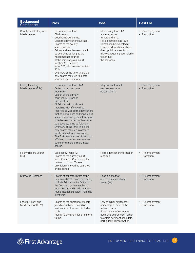| <b>Background</b><br><b>Component</b>   | <b>Pros</b>                                                                                                                                                                                                                                                                                                                                                                                                                                                                                                                                                                                                                  | <b>Cons</b>                                                                                                                                                                                                                                           | <b>Best For</b>                                       |
|-----------------------------------------|------------------------------------------------------------------------------------------------------------------------------------------------------------------------------------------------------------------------------------------------------------------------------------------------------------------------------------------------------------------------------------------------------------------------------------------------------------------------------------------------------------------------------------------------------------------------------------------------------------------------------|-------------------------------------------------------------------------------------------------------------------------------------------------------------------------------------------------------------------------------------------------------|-------------------------------------------------------|
| County Seat Felony and<br>Misdemeanor   | • Less expensive than<br>F&M search.<br>• Good turnaround time.<br>Good misdemeanor coverage.<br>• Search of the county<br>seat locations.<br>• Felony and misdemeanors will<br>be searched as long as the<br>misdemeanor court is<br>at the same physical court<br>location (Ex. Felonies-<br>room 101, Misdemeanors-Room<br>202).<br>Over 80% of the time, this is the<br>only search required to locate<br>several misdemeanors.                                                                                                                                                                                          | • More costly than FIM<br>and may impact<br>turnaround time.<br>• Not as complete as F&M<br>Delays can be expected at<br>lower court locations where<br>direct public access is not<br>allowed, requiring court clerks<br>to conduct<br>the searches. | • Pre-employment<br>Promotion                         |
| Felony Including<br>Misdemeanor (FIM)   | Less expensive than F&M.<br>Better turnaround time<br>than F&M.<br>Search of the primary<br>court index (Superior,<br>Circuit, etc.).<br>All felonies with sufficient<br>matching identifiers will be<br>reported as well as misdemeanors<br>that do not require additional court<br>searches for complete information<br>(Misdemeanors held within same<br>database systems as felonies).<br>Over 60% of the time, this is the<br>only search required in order to<br>locate several misdemeanors.<br>The FIM search is one of the most<br>efficient, cost-effective searches<br>due to the single primary index<br>search. | May not capture all<br>misdemeanors in<br>certain courts.                                                                                                                                                                                             | Pre-employment<br>$\bullet$<br>Promotion              |
| Felony Record Search<br>(FRI)           | • Less costly than FIM.<br>Search of the primary court<br>index (Superior, Circuit, etc.) for<br>minimum of past 7 years.<br>Only felony hits will be searched<br>and reported.                                                                                                                                                                                                                                                                                                                                                                                                                                              | • No misdemeanor information<br>reported                                                                                                                                                                                                              | • Pre-employment<br>• Promotion                       |
| <b>Statewide Searches</b>               | • Search of either the State or the<br><b>Centralized State Police Repository</b><br>or State Administrative Office of<br>the Court and will research and<br>report Felony and Misdemeanors<br>found that had sufficient matching<br>identifiers.                                                                                                                                                                                                                                                                                                                                                                            | Possible hits that<br>often require additional<br>search(es).                                                                                                                                                                                         | Pre-employment<br>$\bullet$<br>Promotion<br>$\bullet$ |
| Federal Felony and<br>Misdemeanor (FFM) | · Search of the appropriate federal<br>jurisdictional court based on<br>residential address and includes<br>both<br>federal felony and misdemeanors<br>found.                                                                                                                                                                                                                                                                                                                                                                                                                                                                | • Low criminal hit (record)<br>percentages found in the<br>federal courts.<br>• Possible hits often require<br>additional search(es) in order<br>to obtain pertinent case data,<br>particularly ID information.                                       | Pre-employment<br>Promotion                           |

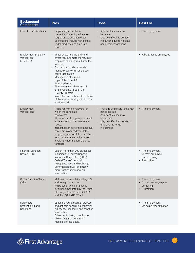| <b>Background</b><br>Component                               | <b>Pros</b>                                                                                                                                                                                                                                                                                                                                                                                                                                                                       | <b>Cons</b>                                                                                                                                                        | <b>Best For</b>                                                         |
|--------------------------------------------------------------|-----------------------------------------------------------------------------------------------------------------------------------------------------------------------------------------------------------------------------------------------------------------------------------------------------------------------------------------------------------------------------------------------------------------------------------------------------------------------------------|--------------------------------------------------------------------------------------------------------------------------------------------------------------------|-------------------------------------------------------------------------|
| <b>Education Verifications</b>                               | • Helps verify educational<br>credentials including education<br>degree and graduation dates.<br>• Verifications include high-school,<br>under-graduate and graduate<br>degrees.                                                                                                                                                                                                                                                                                                  | • Applicant release may<br>be needed.<br>• May be difficult to contact<br>institutions due to holidays<br>and summer vacations.                                    | • Pre-employment                                                        |
| <b>Employment Eligibility</b><br>Verification<br>(EEV or 19) | • These systems efficiently and<br>effectively automate the return of<br>employee eligibility results via the<br>Internet.<br>• Can be used to electronically<br>manage your Form I-9s across<br>your organization.<br>Manages an electronic<br>copy of the Form I-9<br>for compliance.<br>• The system can also transmit<br>employee data through the<br>E-Verify Program.<br>• In addition, an authorization status<br>of the applicant's eligibility for hire<br>is addressed. |                                                                                                                                                                    | • All U.S.-based employees                                              |
| Employment<br>Verifications                                  | Helps verify the employers for<br>which the candidate<br>has worked.<br>The number of employers verified<br>is dependent on the customer's<br>needs.<br>Items that can be verified: employer<br>name, employer address, dates<br>employed, position, full or part-time,<br>temp or permanent, voluntary or<br>involuntary termination, eligibility<br>for rehire.                                                                                                                 | Previous employers listed may<br>not cooperate.<br>• Applicant release may<br>be needed.<br>• May be difficult to contact if<br>employer no longer<br>in business. | Pre-employment<br>$\bullet$                                             |
| <b>Financial Sanction</b><br>Search (FSS)                    | Search more than 200 databases,<br>including the Federal Deposit<br>Insurance Corporation (FDIC),<br>Federal Trade Commission<br>(FTC), Securities and Exchange<br>Commission (SEC), and many<br>more, for financial sanction<br>information.                                                                                                                                                                                                                                     |                                                                                                                                                                    | • Pre-employment<br>• Current employee<br>pre-screening<br>• Promotion  |
| <b>Global Sanction Search</b><br>(GSS)                       | Multi-source search including U.S.<br>and foreign databases.<br>Helps assist with compliance<br>guidelines mandated by the Office<br>of Foreign Asset Control (OFAC)<br>and the USA PATRIOT Act.                                                                                                                                                                                                                                                                                  |                                                                                                                                                                    | • Pre-employment<br>• Current employee pre-<br>screening<br>• Promotion |
| Healthcare<br>Credentialing and<br>Sanctions                 | Speed up your credential process<br>and get help confirming education,<br>experience, licensure, and sanction<br>information.<br>Enhances industry compliance.<br>• Allows faster placement of<br>medical professionals.                                                                                                                                                                                                                                                          |                                                                                                                                                                    | • Pre-employment<br>• On-going recertification                          |

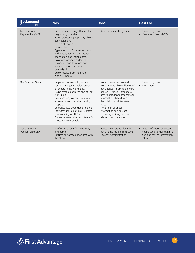| <b>Background</b><br>Component         | <b>Pros</b>                                                                                                                                                                                                                                                                                                                                                                                                                                   | Cons                                                                                                                                                                                                                                                                                                                                                              | <b>Best For</b>                                                                                            |
|----------------------------------------|-----------------------------------------------------------------------------------------------------------------------------------------------------------------------------------------------------------------------------------------------------------------------------------------------------------------------------------------------------------------------------------------------------------------------------------------------|-------------------------------------------------------------------------------------------------------------------------------------------------------------------------------------------------------------------------------------------------------------------------------------------------------------------------------------------------------------------|------------------------------------------------------------------------------------------------------------|
| Motor Vehicle<br>Registration (MVR)    | • Uncover new driving offenses that<br>might put you at risk.<br>Batch processing capability allows<br>easy uploading<br>of lists of names to<br>be searched.<br>Typical results: DL number, class<br>and status, name, DOB, physical<br>description, conviction dates,<br>violations, accidents, docket<br>numbers, court locations and<br>accident report numbers.<br>• User-friendly<br>Quick results, from instant to<br>within 24 hours. | Results vary state by state.<br>$\bullet$                                                                                                                                                                                                                                                                                                                         | Pre-employment<br>• Yearly for drivers (DOT)                                                               |
| Sex Offender Search                    | Helps to inform employees and<br>customers against violent sexual<br>offenders in the workplace.<br>Helps protects children and at-risk<br>individuals.<br>· Gives property owners/Realtors<br>a sense of security when renting<br>property.<br>· Demonstrates good due diligence.<br>· Sex Offender Registries (48 states<br>plus Washington, D.C.).<br>• For some states the sex offender's<br>photo is also available.                     | • Not all states are covered.<br>Not all states allow all levels of<br>sex offender information to be<br>shared (Ex: level 1 offenders<br>aren't shared for some states).<br>• Information shared with<br>the public may differ state by<br>state.<br>• Not all sex offender<br>information can be used<br>in making a hiring decision<br>(depends on the state). | • Pre-employment<br>• Promotion                                                                            |
| Social Security<br>Verification (SSNV) | • Verifies 2 out of 3 for DOB, SSN,<br>and name.<br>Returns all names associated with<br>the above.                                                                                                                                                                                                                                                                                                                                           | Based on credit header info.<br>not a name match from Social<br>Security Administration.                                                                                                                                                                                                                                                                          | • Data verification only--can<br>not be used to make a hiring<br>decision for the information<br>returned. |

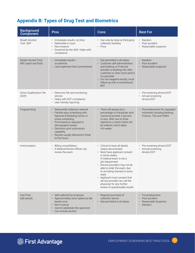#### **Appendix B: Types of Drug Test and Biometrics**

| <b>Background</b><br>Component                 | <b>Pros</b>                                                                                                                                                                                                                                                                                                         | <b>Cons</b>                                                                                                                                                                                                                                                                                                                                                                                          | <b>Best For</b>                                                                         |
|------------------------------------------------|---------------------------------------------------------------------------------------------------------------------------------------------------------------------------------------------------------------------------------------------------------------------------------------------------------------------|------------------------------------------------------------------------------------------------------------------------------------------------------------------------------------------------------------------------------------------------------------------------------------------------------------------------------------------------------------------------------------------------------|-----------------------------------------------------------------------------------------|
| Breath Alcohol<br>Test-BAT                     | • Immediate results-at clinic<br>Defensible in court<br>Non-invasive<br>Governed by the ADA-helps with<br>compliance                                                                                                                                                                                                | • Can only be done at third-party<br>collection facilities<br>• Price                                                                                                                                                                                                                                                                                                                                | • Random<br>• Post accident<br>• Reasonable suspicion                                   |
| Breath Alcohol Test-<br>BAT (rapid oral fluid) | · Immediate results-<br>on premise<br>• Less expensive than conventional                                                                                                                                                                                                                                            | Not permitted in all states<br>Customer self administration<br>and tracking, or if service<br>provider is tracking info, then<br>customer or clinic must send it<br>to a provider<br>For non-negative results, must<br>follow up with a conventional<br><b>BAT</b>                                                                                                                                   | $\cdot$ Random<br>Post accident<br>• Reasonable suspicion                               |
| Driver Qualification File<br>(DQF)             | Electronic file and monitoring<br>service<br>• Helps with DOT compliance<br>• User friendly reporting                                                                                                                                                                                                               |                                                                                                                                                                                                                                                                                                                                                                                                      | • Pre-screening drivers/DOT<br>• Annual screening<br>drivers/DOT                        |
| Fingerprinting                                 | Nationwide collection network<br>Flexible easy scheduling with<br>$\bullet$<br>National Scheduling Center or<br>online scheduling<br>• Print-based as opposed to<br>demographic-based<br>Electronic print submission<br>$\bullet$<br>capability<br>Results usually delivered in three<br>$\bullet$<br>to five hours | • There will always be a<br>percentage of individuals who<br>cannot be printed; 5 percent<br>or less. After two to three<br>rejections, a name check will<br>be ordered, which takes<br>4-6 weeks.                                                                                                                                                                                                   | Pre-employment for regulated<br>industries including Banking,<br>Finance, TSA and FINRA |
| Immunization                                   | Billing consolidation<br>$\bullet$<br>• A Medical Review Officer can<br>review the exam                                                                                                                                                                                                                             | • Critical to have all details<br>clearly documented<br>• Must have applicant consent<br>in some states,<br>if medical exam is not a<br>job requirement<br>• Service providers may not be<br>able to order the exam, due<br>to not being licensed in every<br>state<br>• Applicant must consent that<br>service provider can call the<br>physician for any further<br>review of questionable results | • Pre-screening drivers/DOT<br>• Annual screening<br>drivers/DOT                        |
| Oral Fluid<br>(lab based)                      | • Self-collected by employer<br>• Approximately same spend as lab-<br>based urine<br>Non-invasive<br>$\bullet$<br>Cannot adulterate the specimen<br>• Can include alcohol                                                                                                                                           | Requires purchase of<br>collection device<br>• Not permitted in all states                                                                                                                                                                                                                                                                                                                           | • Pre-employment<br>Post accident<br>Reasonable Suspicion<br>Random                     |

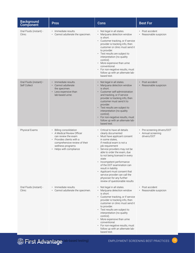| <b>Background</b><br>Component         | <b>Pros</b>                                                                                                                                                                                     | <b>Cons</b>                                                                                                                                                                                                                                                                                                                                                                                                                                                                        | <b>Best For</b>                                                  |
|----------------------------------------|-------------------------------------------------------------------------------------------------------------------------------------------------------------------------------------------------|------------------------------------------------------------------------------------------------------------------------------------------------------------------------------------------------------------------------------------------------------------------------------------------------------------------------------------------------------------------------------------------------------------------------------------------------------------------------------------|------------------------------------------------------------------|
| Oral Fluids (instant) -<br>Clinic      | · Immediate results.<br>Cannot adulterate the specimen.                                                                                                                                         | • Not legal in all states.<br>Marijuana detection window<br>is short.<br>• Customer tracking, or if service<br>provider is tracking info, then<br>customer or clinic must send it<br>to provider.<br>• Test results are subject to<br>interpretation (no quality<br>control).<br>More expensive than urine<br>$\bullet$<br>conventional.<br>• For non-negative results, must<br>follow up with an alternate lab-<br>based test.                                                    | • Post accident<br>· Reasonable suspicion                        |
| Oral Fluids (instant)-<br>Self Collect | · Immediate results.<br>Cannot adulterate<br>the specimen.<br>• Less expensive than<br>lab-based urine.                                                                                         | Not legal in all states.<br>• Marijuana detection window<br>is short.<br>Customer self-administration<br>and tracking, or if service<br>provider is tracking info, then<br>customer must send it to<br>provider.<br>• Test results are subject to<br>interpretation (no quality<br>control).<br>• For non-negative results, must<br>follow up with an alternate lab-<br>based test.                                                                                                | Post accident<br>Reasonable suspicion                            |
| Physical Exams                         | <b>Billing consolidation</b><br>• A Medical Review Officer<br>can review the exam<br>• Provides clients with a<br>comprehensive review of their<br>wellness programs<br>• Helps with compliance | Critical to have all details<br>clearly documented<br>• Must have applicant consent<br>in some states,<br>if medical exam is not a<br>job requirement<br>Service providers may not be<br>able to order the exam, due<br>to not being licensed in every<br>state<br>• Incompetent performance<br>of the DOT examination can<br>result in liability<br>• Applicant must consent that<br>service provider can call the<br>physician for any further<br>review of questionable results | • Pre-screening drivers/DOT<br>• Annual screening<br>drivers/DOT |
| Oral Fluids (instant) -<br>Clinic      | · Immediate results.<br>• Cannot adulterate the specimen.                                                                                                                                       | Not legal in all states.<br>• Marijuana detection window<br>is short.<br>• Customer tracking, or if service<br>provider is tracking info, then<br>customer or clinic must send it<br>to provider.<br>• Test results are subject to<br>interpretation (no quality<br>control).<br>• More expensive than urine<br>conventional.<br>For non-negative results, must<br>follow up with an alternate lab-<br>based test.                                                                 | • Post accident<br>• Reasonable suspicion                        |

<sup>2</sup> Pirst Advantage lab-based testing)

EMPLOYMENT SCREENING BEST PRACTICES (18)